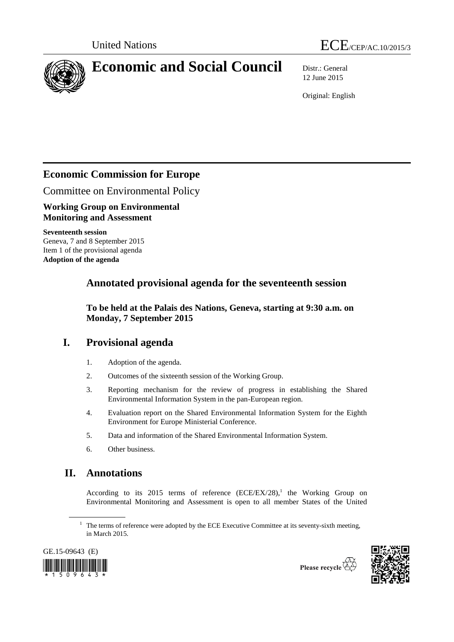



# **Economic and Social Council** Distr.: General

12 June 2015

Original: English

# **Economic Commission for Europe**

Committee on Environmental Policy

**Working Group on Environmental Monitoring and Assessment**

**Seventeenth session** Geneva, 7 and 8 September 2015 Item 1 of the provisional agenda **Adoption of the agenda**

# **Annotated provisional agenda for the seventeenth session**

**To be held at the Palais des Nations, Geneva, starting at 9:30 a.m. on Monday, 7 September 2015**

# **I. Provisional agenda**

- 1. Adoption of the agenda.
- 2. Outcomes of the sixteenth session of the Working Group.
- 3. Reporting mechanism for the review of progress in establishing the Shared Environmental Information System in the pan-European region.
- 4. Evaluation report on the Shared Environmental Information System for the Eighth Environment for Europe Ministerial Conference.
- 5. Data and information of the Shared Environmental Information System.
- 6. Other business.

# **II. Annotations**

According to its 2015 terms of reference  $(ECE/EX/28)$ ,<sup>1</sup> the Working Group on Environmental Monitoring and Assessment is open to all member States of the United

GE.15-09643 (E)  $509643$ 



 $1$  The terms of reference were adopted by the ECE Executive Committee at its seventy-sixth meeting, in March 2015.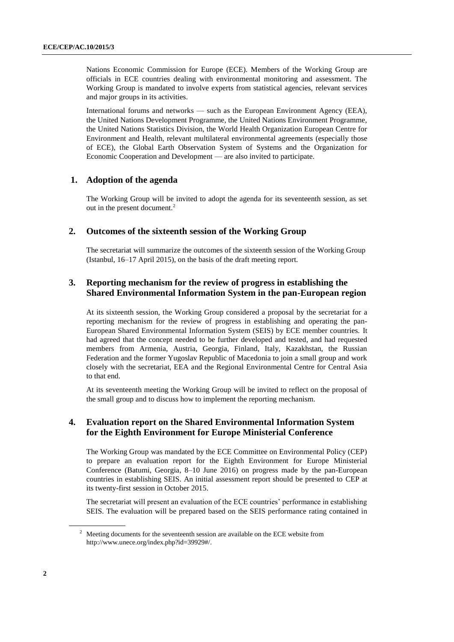Nations Economic Commission for Europe (ECE). Members of the Working Group are officials in ECE countries dealing with environmental monitoring and assessment. The Working Group is mandated to involve experts from statistical agencies, relevant services and major groups in its activities.

International forums and networks — such as the European Environment Agency (EEA), the United Nations Development Programme, the United Nations Environment Programme, the United Nations Statistics Division, the World Health Organization European Centre for Environment and Health, relevant multilateral environmental agreements (especially those of ECE), the Global Earth Observation System of Systems and the Organization for Economic Cooperation and Development — are also invited to participate.

### **1. Adoption of the agenda**

The Working Group will be invited to adopt the agenda for its seventeenth session, as set out in the present document.<sup>2</sup>

#### **2. Outcomes of the sixteenth session of the Working Group**

The secretariat will summarize the outcomes of the sixteenth session of the Working Group (Istanbul, 16–17 April 2015), on the basis of the draft meeting report.

### **3. Reporting mechanism for the review of progress in establishing the Shared Environmental Information System in the pan-European region**

At its sixteenth session, the Working Group considered a proposal by the secretariat for a reporting mechanism for the review of progress in establishing and operating the pan-European Shared Environmental Information System (SEIS) by ECE member countries. It had agreed that the concept needed to be further developed and tested, and had requested members from Armenia, Austria, Georgia, Finland, Italy, Kazakhstan, the Russian Federation and the former Yugoslav Republic of Macedonia to join a small group and work closely with the secretariat, EEA and the Regional Environmental Centre for Central Asia to that end.

At its seventeenth meeting the Working Group will be invited to reflect on the proposal of the small group and to discuss how to implement the reporting mechanism.

### **4. Evaluation report on the Shared Environmental Information System for the Eighth Environment for Europe Ministerial Conference**

The Working Group was mandated by the ECE Committee on Environmental Policy (CEP) to prepare an evaluation report for the Eighth Environment for Europe Ministerial Conference (Batumi, Georgia, 8–10 June 2016) on progress made by the pan-European countries in establishing SEIS. An initial assessment report should be presented to CEP at its twenty-first session in October 2015.

The secretariat will present an evaluation of the ECE countries' performance in establishing SEIS. The evaluation will be prepared based on the SEIS performance rating contained in

<sup>&</sup>lt;sup>2</sup> Meeting documents for the seventeenth session are available on the ECE website from http://www.unece.org/index.php?id=39929#/.